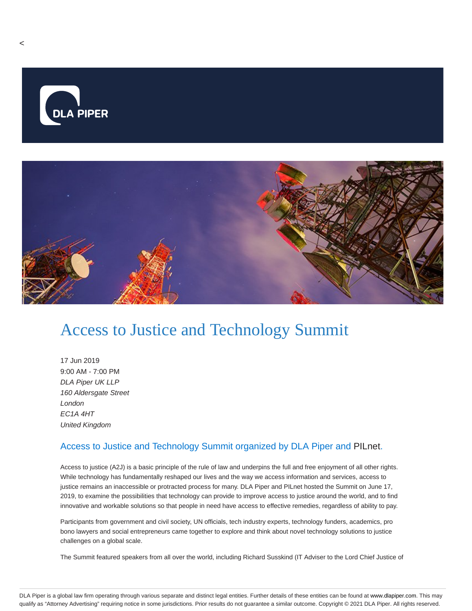

## Access to Justice and Technology Summit

17 Jun 2019 9:00 AM - 7:00 PM DLA Piper UK LLP 160 Aldersgate Street London EC1A 4HT United Kingdom

## Access to Justice and Technology Summit organized by DLA Piper and PILnet.

Access to justice (A2J) is a basic principle of the rule of law and underpins the full and free enjoyment of all other rights. While technology has fundamentally reshaped our lives and the way we access information and services, access to justice remains an inaccessible or protracted process for many. DLA Piper and PILnet hosted the Summit on June 17, 2019, to examine the possibilities that technology can provide to improve access to justice around the world, and to find innovative and workable solutions so that people in need have access to effective remedies, regardless of ability to pay.

Participants from government and civil society, UN officials, tech industry experts, technology funders, academics, pro bono lawyers and social entrepreneurs came together to explore and think about novel technology solutions to justice challenges on a global scale.

The Summit featured speakers from all over the world, including Richard Susskind (IT Adviser to the Lord Chief Justice of